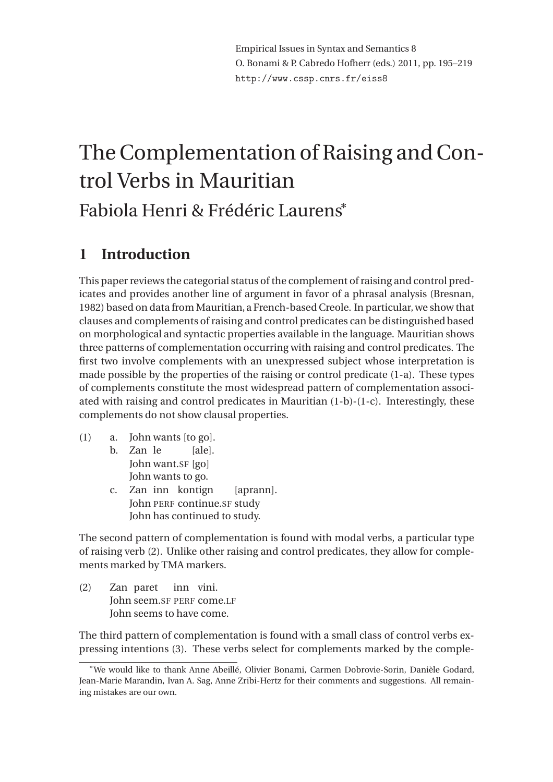# The Complementation of Raising and Control Verbs in Mauritian Fabiola Henri & Frédéric Laurens<sup>∗</sup>

# **1 Introduction**

This paper reviews the categorial status of the complement of raising and control predicates and provides another line of argument in favor of a phrasal analysis (Bresnan, 1982) based on data from Mauritian, a French-based Creole. In particular, we show that clauses and complements of raising and control predicates can be distinguished based on morphological and syntactic properties available in the language. Mauritian shows three patterns of complementation occurring with raising and control predicates. The first two involve complements with an unexpressed subject whose interpretation is made possible by the properties of the raising or control predicate (1-a). These types of complements constitute the most widespread pattern of complementation associated with raising and control predicates in Mauritian (1-b)-(1-c). Interestingly, these complements do not show clausal properties.

- (1) a. John wants [to go]. b. Zan le John want.SF [go] [ale]. John wants to go.
	- c. Zan inn kontign John PERF continue.SF study [aprann]. John has continued to study.

The second pattern of complementation is found with modal verbs, a particular type of raising verb (2). Unlike other raising and control predicates, they allow for complements marked by TMA markers.

(2) Zan paret John seem.SF PERF come.LF inn vini. John seems to have come.

The third pattern of complementation is found with a small class of control verbs expressing intentions (3). These verbs select for complements marked by the comple-

<sup>∗</sup>We would like to thank Anne Abeillé, Olivier Bonami, Carmen Dobrovie-Sorin, Danièle Godard, Jean-Marie Marandin, Ivan A. Sag, Anne Zribi-Hertz for their comments and suggestions. All remaining mistakes are our own.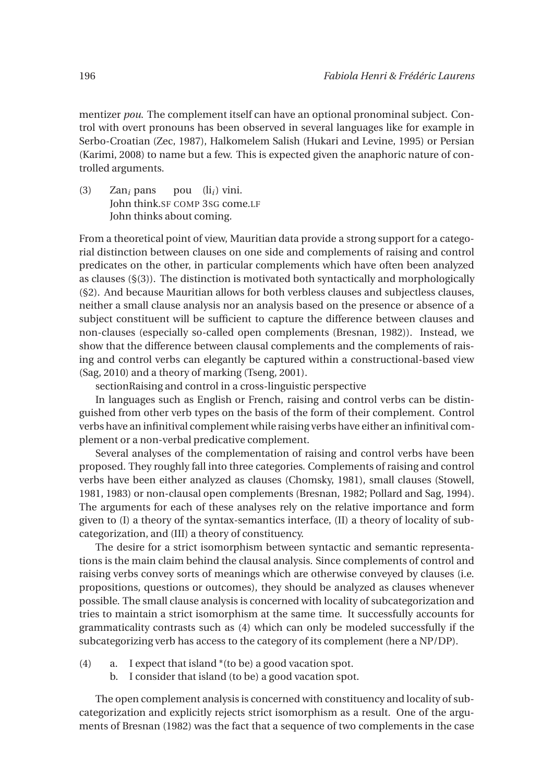mentizer *pou*. The complement itself can have an optional pronominal subject. Control with overt pronouns has been observed in several languages like for example in Serbo-Croatian (Zec, 1987), Halkomelem Salish (Hukari and Levine, 1995) or Persian (Karimi, 2008) to name but a few. This is expected given the anaphoric nature of controlled arguments.

(3) Zan*<sup>i</sup>* pans John think.SF COMP 3SG come.LF pou (li*i*) vini. John thinks about coming.

From a theoretical point of view, Mauritian data provide a strong support for a categorial distinction between clauses on one side and complements of raising and control predicates on the other, in particular complements which have often been analyzed as clauses (§(3)). The distinction is motivated both syntactically and morphologically (§2). And because Mauritian allows for both verbless clauses and subjectless clauses, neither a small clause analysis nor an analysis based on the presence or absence of a subject constituent will be sufficient to capture the difference between clauses and non-clauses (especially so-called open complements (Bresnan, 1982)). Instead, we show that the difference between clausal complements and the complements of raising and control verbs can elegantly be captured within a constructional-based view (Sag, 2010) and a theory of marking (Tseng, 2001).

sectionRaising and control in a cross-linguistic perspective

In languages such as English or French, raising and control verbs can be distinguished from other verb types on the basis of the form of their complement. Control verbs have an infinitival complement while raising verbs have either an infinitival complement or a non-verbal predicative complement.

Several analyses of the complementation of raising and control verbs have been proposed. They roughly fall into three categories. Complements of raising and control verbs have been either analyzed as clauses (Chomsky, 1981), small clauses (Stowell, 1981, 1983) or non-clausal open complements (Bresnan, 1982; Pollard and Sag, 1994). The arguments for each of these analyses rely on the relative importance and form given to (I) a theory of the syntax-semantics interface, (II) a theory of locality of subcategorization, and (III) a theory of constituency.

The desire for a strict isomorphism between syntactic and semantic representations is the main claim behind the clausal analysis. Since complements of control and raising verbs convey sorts of meanings which are otherwise conveyed by clauses (i.e. propositions, questions or outcomes), they should be analyzed as clauses whenever possible. The small clause analysis is concerned with locality of subcategorization and tries to maintain a strict isomorphism at the same time. It successfully accounts for grammaticality contrasts such as (4) which can only be modeled successfully if the subcategorizing verb has access to the category of its complement (here a NP/DP).

- (4) a. I expect that island \*(to be) a good vacation spot.
	- b. I consider that island (to be) a good vacation spot.

The open complement analysis is concerned with constituency and locality of subcategorization and explicitly rejects strict isomorphism as a result. One of the arguments of Bresnan (1982) was the fact that a sequence of two complements in the case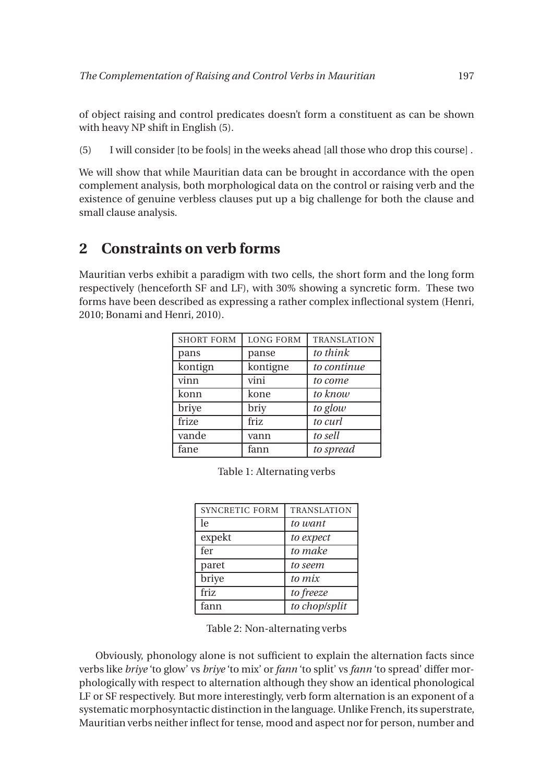of object raising and control predicates doesn't form a constituent as can be shown with heavy NP shift in English (5).

(5) I will consider [to be fools] in the weeks ahead [all those who drop this course] .

We will show that while Mauritian data can be brought in accordance with the open complement analysis, both morphological data on the control or raising verb and the existence of genuine verbless clauses put up a big challenge for both the clause and small clause analysis.

# **2 Constraints on verb forms**

Mauritian verbs exhibit a paradigm with two cells, the short form and the long form respectively (henceforth SF and LF), with 30% showing a syncretic form. These two forms have been described as expressing a rather complex inflectional system (Henri, 2010; Bonami and Henri, 2010).

| <b>SHORT FORM</b> | <b>LONG FORM</b> | <b>TRANSLATION</b> |
|-------------------|------------------|--------------------|
| pans              | panse            | to think           |
| kontign           | kontigne         | to continue        |
| vinn              | vini             | to come            |
| konn              | kone             | to know            |
| briye             | briy             | to glow            |
| frize             | friz             | to curl            |
| vande             | vann             | to sell            |
| fane              | fann             | to spread          |

Table 1: Alternating verbs

| <b>SYNCRETIC FORM</b> | <b>TRANSLATION</b> |
|-----------------------|--------------------|
| le.                   | to want            |
| expekt                | to expect          |
| fer                   | to make            |
| paret                 | to seem            |
| briye                 | to mix             |
| friz                  | to freeze          |
| fann                  | to chop/split      |

Table 2: Non-alternating verbs

Obviously, phonology alone is not sufficient to explain the alternation facts since verbs like *briye* 'to glow' vs *briye* 'to mix' or *fann* 'to split' vs *fann* 'to spread' differ morphologically with respect to alternation although they show an identical phonological LF or SF respectively. But more interestingly, verb form alternation is an exponent of a systematic morphosyntactic distinction in the language. Unlike French, its superstrate, Mauritian verbs neither inflect for tense, mood and aspect nor for person, number and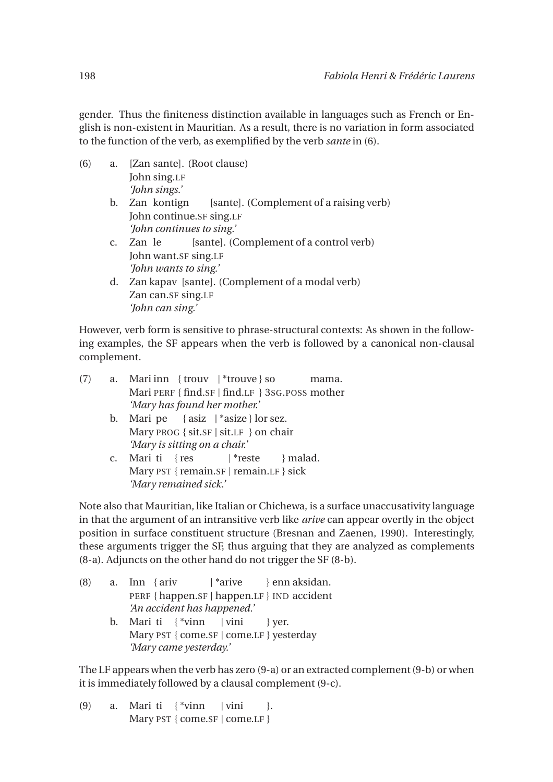gender. Thus the finiteness distinction available in languages such as French or English is non-existent in Mauritian. As a result, there is no variation in form associated to the function of the verb, as exemplified by the verb *sante* in (6).

| (6) | a. | [Zan sante]. (Root clause)                                |  |  |  |
|-----|----|-----------------------------------------------------------|--|--|--|
|     |    | John sing.LF                                              |  |  |  |
|     |    | 'John sings.'                                             |  |  |  |
|     |    | b. Zan kontign<br>[sante]. (Complement of a raising verb) |  |  |  |
|     |    | John continue.SF sing.LF                                  |  |  |  |
|     |    | 'John continues to sing.'                                 |  |  |  |
|     |    | [sante]. (Complement of a control verb)<br>c. Zan le      |  |  |  |
|     |    | John want.SF sing.LF                                      |  |  |  |
|     |    | 'John wants to sing.'                                     |  |  |  |
|     | d. | Zan kapav [sante]. (Complement of a modal verb)           |  |  |  |
|     |    | Zan can.SF sing.LF                                        |  |  |  |
|     |    | 'John can sing.'                                          |  |  |  |

However, verb form is sensitive to phrase-structural contexts: As shown in the following examples, the SF appears when the verb is followed by a canonical non-clausal complement.

| (7) | a. Mari inn {trouv   *trouve } so<br>mama.             |  |  |  |  |
|-----|--------------------------------------------------------|--|--|--|--|
|     | Mari PERF { find. $SF$   find. $LF$ } 3sg. POSS mother |  |  |  |  |
|     | 'Mary has found her mother.'                           |  |  |  |  |

- b. Mari pe { asiz | \*asize } lor sez. Mary PROG { sit.SF | sit.LF } on chair *'Mary is sitting on a chair.'*
- c. Mari ti { res Mary PST { remain.SF | remain.LF } sick | \*reste } malad. *'Mary remained sick.'*

Note also that Mauritian, like Italian or Chichewa, is a surface unaccusativity language in that the argument of an intransitive verb like *arive* can appear overtly in the object position in surface constituent structure (Bresnan and Zaenen, 1990). Interestingly, these arguments trigger the SF, thus arguing that they are analyzed as complements (8-a). Adjuncts on the other hand do not trigger the SF (8-b).

| (8) |    | a. Inn { $ariv$   *arive } enn aksidan.           |  |
|-----|----|---------------------------------------------------|--|
|     |    | PERF { happen.SF   happen.LF } IND accident       |  |
|     |    | 'An accident has happened.'                       |  |
|     | b. | Mari ti $\{\text{*vinn} \mid \text{vini} \}$ yer. |  |
|     |    | Mary PST { come.SF   come.LF } yesterday          |  |
|     |    | 'Mary came yesterday.'                            |  |

The LF appears when the verb has zero (9-a) or an extracted complement (9-b) or when it is immediately followed by a clausal complement (9-c).

(9) a. Mari ti { \*vinn | vini Mary PST { come.SF | come.LF } }.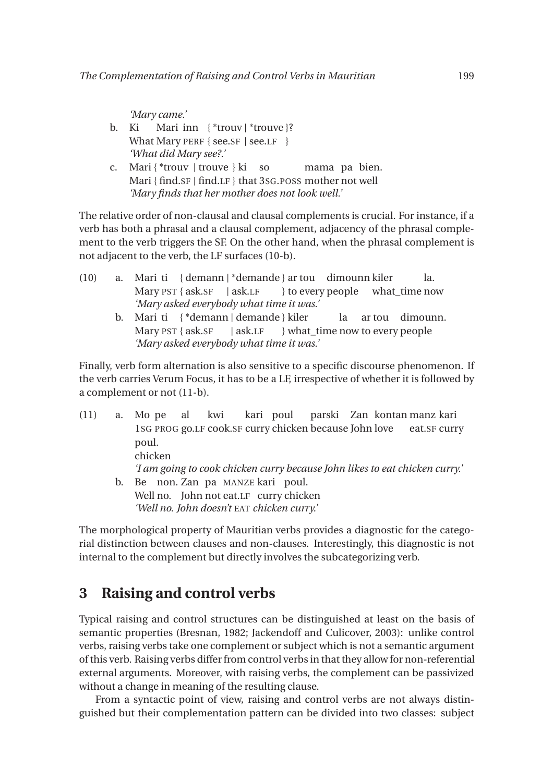*'Mary came.'*

- b. Ki What Mary PERF { see.SF | see.LF } Mari inn { \*trouv | \*trouve }? *'What did Mary see?.'*
- c. Mari { \*trouv | trouve } ki so Mari { find.SF | find.LF } that 3SG.POSS mother not well mama pa bien. *'Mary finds that her mother does not look well.'*

The relative order of non-clausal and clausal complements is crucial. For instance, if a verb has both a phrasal and a clausal complement, adjacency of the phrasal complement to the verb triggers the SF. On the other hand, when the phrasal complement is not adjacent to the verb, the LF surfaces (10-b).

- (10) a. Mari ti { demann | \*demande } ar tou dimounn kiler Mary PST { ask.SF | ask.LF } to every people what\_time now la. *'Mary asked everybody what time it was.'*
	- b. Mari ti { \*demann | demande } kiler Mary PST { ask.SF | ask.LF } what\_time now to every people la ar tou dimounn. *'Mary asked everybody what time it was.'*

Finally, verb form alternation is also sensitive to a specific discourse phenomenon. If the verb carries Verum Focus, it has to be a LF, irrespective of whether it is followed by a complement or not (11-b).

(11) a. Mo pe 1SG PROG go.LF cook.SF curry chicken because John love al kwi kari poul parski Zan kontan manz kari eat.SF curry poul. chicken *'I am going to cook chicken curry because John likes to eat chicken curry.'* b. Be non. Zan pa MANZE kari poul. Well no. John not eat.LF curry chicken *'Well no. John doesn't* EAT *chicken curry.'*

The morphological property of Mauritian verbs provides a diagnostic for the categorial distinction between clauses and non-clauses. Interestingly, this diagnostic is not internal to the complement but directly involves the subcategorizing verb.

### **3 Raising and control verbs**

Typical raising and control structures can be distinguished at least on the basis of semantic properties (Bresnan, 1982; Jackendoff and Culicover, 2003): unlike control verbs, raising verbs take one complement or subject which is not a semantic argument of this verb. Raising verbs differ from control verbs in that they allow for non-referential external arguments. Moreover, with raising verbs, the complement can be passivized without a change in meaning of the resulting clause.

From a syntactic point of view, raising and control verbs are not always distinguished but their complementation pattern can be divided into two classes: subject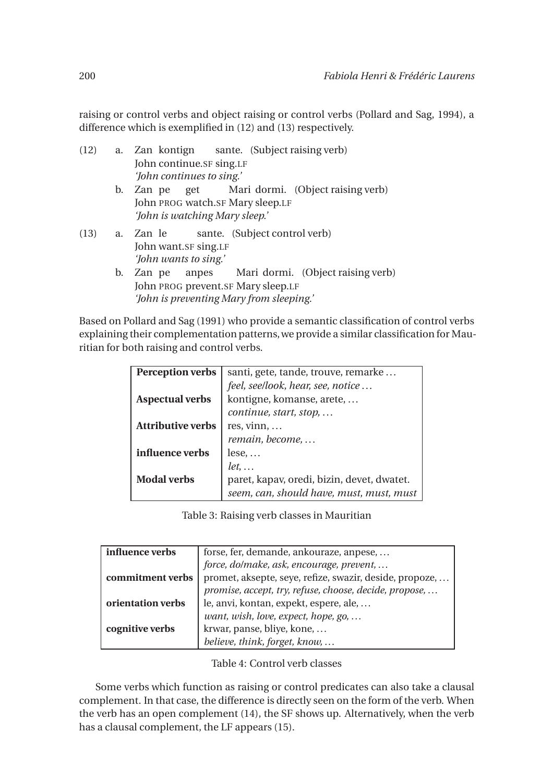raising or control verbs and object raising or control verbs (Pollard and Sag, 1994), a difference which is exemplified in (12) and (13) respectively.

|      |    | (12) a. Zan kontign sante. (Subject raising verb) |  |  |  |  |  |
|------|----|---------------------------------------------------|--|--|--|--|--|
|      |    | John continue.SF sing.LF                          |  |  |  |  |  |
|      |    | 'John continues to sing.'                         |  |  |  |  |  |
|      | b. | Zan pe get Mari dormi. (Object raising verb)      |  |  |  |  |  |
|      |    | John PROG watch.SF Mary sleep.LF                  |  |  |  |  |  |
|      |    | 'John is watching Mary sleep.'                    |  |  |  |  |  |
| (13) |    | sante. (Subject control verb)<br>a. Zan le        |  |  |  |  |  |
|      |    | John want.SF sing.LF                              |  |  |  |  |  |
|      |    | 'John wants to sing.'                             |  |  |  |  |  |
|      | b. | Zan pe anpes Mari dormi. (Object raising verb)    |  |  |  |  |  |
|      |    | John PROG prevent.SF Mary sleep.LF                |  |  |  |  |  |
|      |    | 'John is preventing Mary from sleeping.'          |  |  |  |  |  |
|      |    |                                                   |  |  |  |  |  |

Based on Pollard and Sag (1991) who provide a semantic classification of control verbs explaining their complementation patterns,we provide a similar classification for Mauritian for both raising and control verbs.

| <b>Perception verbs</b>  | santi, gete, tande, trouve, remarke        |  |  |
|--------------------------|--------------------------------------------|--|--|
|                          | feel, see/look, hear, see, notice          |  |  |
| <b>Aspectual verbs</b>   | kontigne, komanse, arete,                  |  |  |
|                          | continue, start, stop,                     |  |  |
| <b>Attributive verbs</b> | res, vinn, $\ldots$                        |  |  |
|                          | remain, become,                            |  |  |
| influence verbs          | $lese, \ldots$                             |  |  |
|                          | $let, \ldots$                              |  |  |
| <b>Modal verbs</b>       | paret, kapav, oredi, bizin, devet, dwatet. |  |  |
|                          | seem, can, should have, must, must, must   |  |  |

Table 3: Raising verb classes in Mauritian

| influence verbs   | forse, fer, demande, ankouraze, anpese,                 |
|-------------------|---------------------------------------------------------|
|                   | force, do/make, ask, encourage, prevent,                |
| commitment verbs  | promet, aksepte, seye, refize, swazir, deside, propoze, |
|                   | promise, accept, try, refuse, choose, decide, propose,  |
| orientation verbs | le, anvi, kontan, expekt, espere, ale,                  |
|                   | want, wish, love, expect, hope, go,                     |
| cognitive verbs   | krwar, panse, bliye, kone,                              |
|                   | believe, think, forget, know,                           |

Table 4: Control verb classes

Some verbs which function as raising or control predicates can also take a clausal complement. In that case, the difference is directly seen on the form of the verb. When the verb has an open complement (14), the SF shows up. Alternatively, when the verb has a clausal complement, the LF appears (15).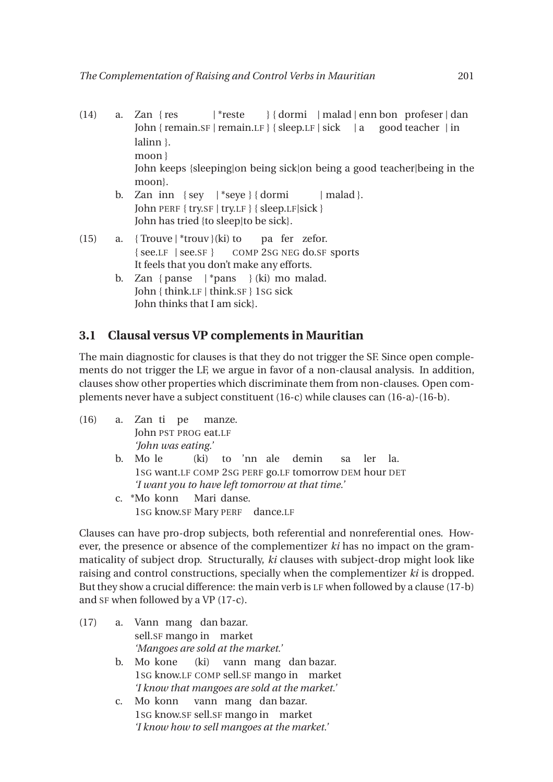- (14) a. Zan { res John { remain.SF | remain.LF } { sleep.LF | sick | a | \*reste } { dormi | malad | enn bon profeser | dan good teacher | in lalinn }. moon } John keeps {sleeping|on being sick|on being a good teacher|being in the moon}. b. Zan inn {sey | \*seye } { dormi | malad }.
	- John PERF { try.SF | try.LF } { sleep.LF|sick } John has tried {to sleep|to be sick}.
- (15) a. {Trouve | \*trouv } (ki) to { see.LF | see.SF } COMP 2SG NEG do.SF sports pa fer zefor. It feels that you don't make any efforts.
	- b. Zan { panse | \*pans } (ki) mo malad. John { think.LF | think.SF } 1SG sick John thinks that I am sick}.

### **3.1 Clausal versus VP complements in Mauritian**

The main diagnostic for clauses is that they do not trigger the SF. Since open complements do not trigger the LF, we argue in favor of a non-clausal analysis. In addition, clauses show other properties which discriminate them from non-clauses. Open complements never have a subject constituent (16-c) while clauses can (16-a)-(16-b).

(16) a. Zan ti pe John PST PROG eat.LF manze. *'John was eating.'* b. Mo le 1SG want.LF COMP 2SG PERF go.LF tomorrow DEM hour DET (ki) to 'nn ale demin sa ler la. *'I want you to have left tomorrow at that time.'* c. \*Mo konn 1SG know.SF Mary PERF dance.LF Mari danse.

Clauses can have pro-drop subjects, both referential and nonreferential ones. However, the presence or absence of the complementizer *ki* has no impact on the grammaticality of subject drop. Structurally, *ki* clauses with subject-drop might look like raising and control constructions, specially when the complementizer *ki* is dropped. But they show a crucial difference: the main verb is LF when followed by a clause (17-b) and SF when followed by a VP (17-c).

- (17) a. Vann mang dan bazar. sell.SF mango in market *'Mangoes are sold at the market.'* b. Mo kone 1SG know.LF COMP sell.SF mango in market (ki) vann mang dan bazar. *'I know that mangoes are sold at the market.'* c. Mo konn vann mang dan bazar.
	- 1SG know.SF sell.SF mango in market *'I know how to sell mangoes at the market.'*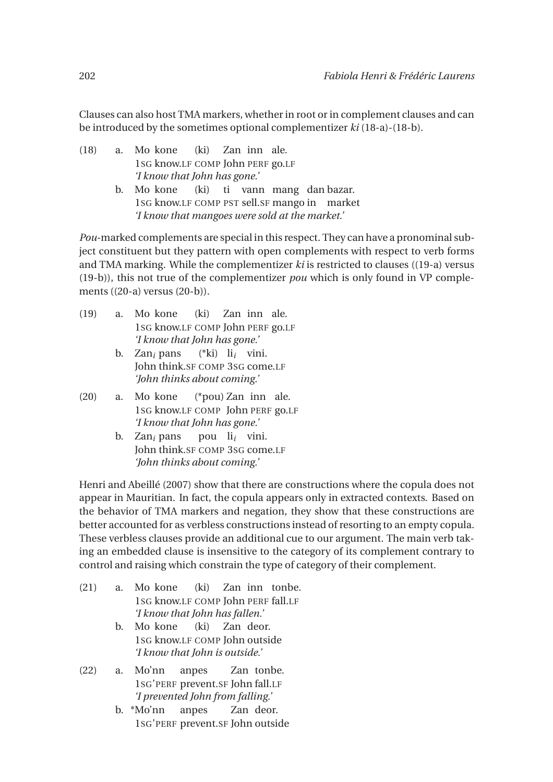Clauses can also host TMA markers, whether in root or in complement clauses and can be introduced by the sometimes optional complementizer *ki* (18-a)-(18-b).

- (18) a. Mo kone 1SG know.LF COMP John PERF go.LF (ki) Zan inn ale. *'I know that John has gone.'* (ki)
	- b. Mo kone 1SG know.LF COMP PST sell.SF mango in market ti vann mang dan bazar. *'I know that mangoes were sold at the market.'*

*Pou*-marked complements are special in this respect. They can have a pronominal subject constituent but they pattern with open complements with respect to verb forms and TMA marking. While the complementizer *ki* is restricted to clauses ((19-a) versus (19-b)), this not true of the complementizer *pou* which is only found in VP complements ((20-a) versus (20-b)).

- (19) a. Mo kone 1SG know.LF COMP John PERF go.LF  $(k<sub>i</sub>)$ Zan inn ale. *'I know that John has gone.'*
	- b. Zan*<sup>i</sup>* pans John think.SF COMP 3SG come.LF (\*ki) li*i* vini. *'John thinks about coming.'*
- (20) a. Mo kone 1SG know.LF COMP John PERF go.LF (\*pou) Zan inn ale. *'I know that John has gone.'*
	- b. Zan*<sup>i</sup>* pans John think.SF COMP 3SG come.LF pou li*i* vini. *'John thinks about coming.'*

Henri and Abeillé (2007) show that there are constructions where the copula does not appear in Mauritian. In fact, the copula appears only in extracted contexts. Based on the behavior of TMA markers and negation, they show that these constructions are better accounted for as verbless constructions instead of resorting to an empty copula. These verbless clauses provide an additional cue to our argument. The main verb taking an embedded clause is insensitive to the category of its complement contrary to control and raising which constrain the type of category of their complement.

- (21) a. Mo kone 1SG know.LF COMP John PERF fall.LF  $(ki)$ Zan inn tonbe. *'I know that John has fallen.'*
	- b. Mo kone 1SG know.LF COMP John outside (ki) Zan deor. *'I know that John is outside.'*
- (22) a. Mo'nn 1SG'PERF prevent.SF John fall.LF anpes Zan tonbe. *'I prevented John from falling.'*
	- b. \*Mo'nn 1SG'PERF prevent.SF John outsideanpes Zan deor.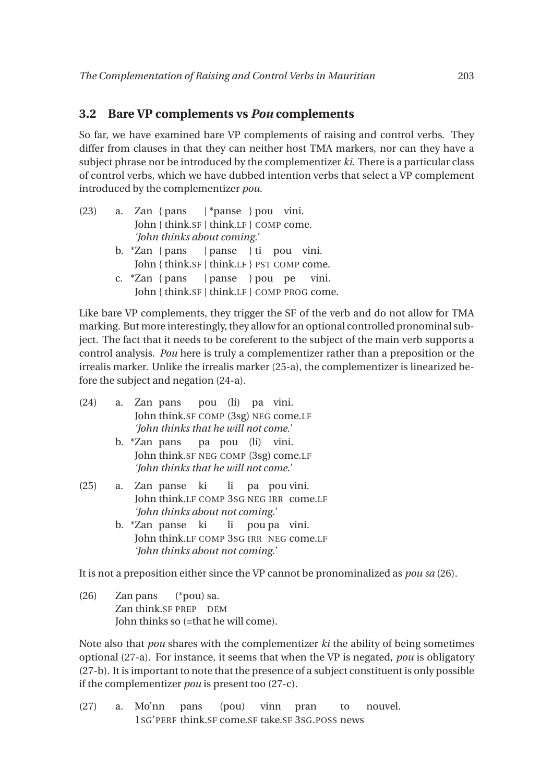#### **3.2 Bare VP complements vs** *Pou* **complements**

So far, we have examined bare VP complements of raising and control verbs. They differ from clauses in that they can neither host TMA markers, nor can they have a subject phrase nor be introduced by the complementizer *ki*. There is a particular class of control verbs, which we have dubbed intention verbs that select a VP complement introduced by the complementizer *pou*.

| (23) | a. Zan {pans   *panse } pou vini.       |
|------|-----------------------------------------|
|      | John { think.SF   think.LF } COMP come. |
|      | 'John thinks about coming.'             |

- b. \*Zan { pans John { think.SF | think.LF } PST COMP come. | panse } ti pou vini.
- c. \*Zan { pans John { think.SF | think.LF } COMP PROG come. | panse } pou pe vini.

Like bare VP complements, they trigger the SF of the verb and do not allow for TMA marking. But more interestingly, they allow for an optional controlled pronominal subject. The fact that it needs to be coreferent to the subject of the main verb supports a control analysis. *Pou* here is truly a complementizer rather than a preposition or the irrealis marker. Unlike the irrealis marker (25-a), the complementizer is linearized before the subject and negation (24-a).

- (24) a. Zan pans John think.SF COMP (3sg) NEG come.LF pou (li) pa vini. *'John thinks that he will not come.'*
	- b. \*Zan pans John think.SF NEG COMP (3sg) come.LF pa pou (li) vini. *'John thinks that he will not come.'*
- (25) a. Zan panse ki John think.LF COMP 3SG NEG IRR come.LF li pa pou vini. *'John thinks about not coming.'*
	- b. \*Zan panse ki John think.LF COMP 3SG IRR NEG come.LF li pou pa vini. *'John thinks about not coming.'*

It is not a preposition either since the VP cannot be pronominalized as *pou sa* (26).

(26) Zan pans Zan think.SF PREP DEM (\*pou) sa. John thinks so (=that he will come).

Note also that *pou* shares with the complementizer *ki* the ability of being sometimes optional (27-a). For instance, it seems that when the VP is negated, *pou* is obligatory (27-b). It is important to note that the presence of a subject constituent is only possible if the complementizer *pou* is present too (27-c).

(27) a. Mo'nn 1SG'PERF think.SF come.SF take.SF 3SG.POSS news pans (pou) vinn pran to nouvel.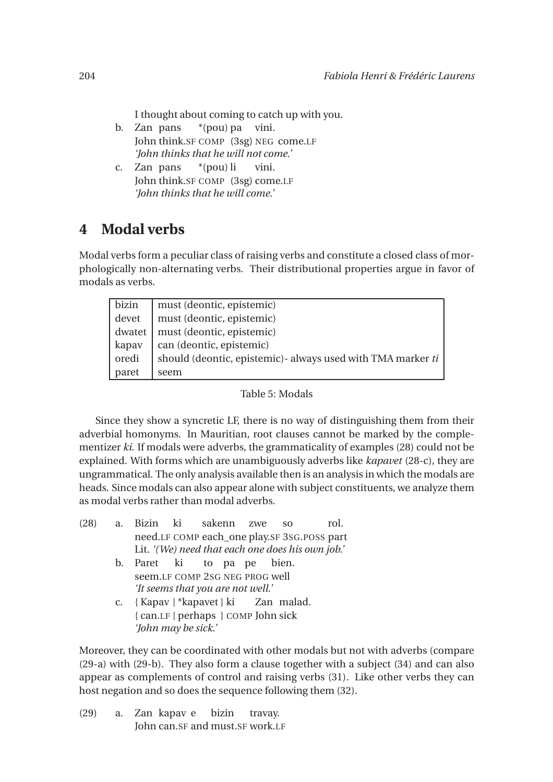I thought about coming to catch up with you.

- b. Zan pans John think.SF COMP (3sg) NEG come.LF \*(pou) pa vini. *'John thinks that he will not come.'*
- c. Zan pans John think.SF COMP (3sg) come.LF \*(pou) li vini. *'John thinks that he will come.'*

### **4 Modal verbs**

Modal verbs form a peculiar class of raising verbs and constitute a closed class of morphologically non-alternating verbs. Their distributional properties argue in favor of modals as verbs.

| bizin  | must (deontic, epistemic)                                    |
|--------|--------------------------------------------------------------|
| devet  | must (deontic, epistemic)                                    |
| dwatet | must (deontic, epistemic)                                    |
| kapav  | can (deontic, epistemic)                                     |
| oredi  | should (deontic, epistemic) - always used with TMA marker ti |
| paret  | seem                                                         |

#### Table 5: Modals

Since they show a syncretic LF, there is no way of distinguishing them from their adverbial homonyms. In Mauritian, root clauses cannot be marked by the complementizer *ki*. If modals were adverbs, the grammaticality of examples (28) could not be explained. With forms which are unambiguously adverbs like *kapavet* (28-c), they are ungrammatical. The only analysis available then is an analysis in which the modals are heads. Since modals can also appear alone with subject constituents, we analyze them as modal verbs rather than modal adverbs.

- (28) a. Bizin need.LF COMP each\_one play.SF 3SG.POSS part ki sakenn zwe so rol. Lit. *'(We) need that each one does his own job.'*
	- b. Paret seem.LF COMP 2SG NEG PROG well ki to pa pe bien. *'It seems that you are not well.'*
	- c. { Kapav | \*kapavet } ki { can.LF | perhaps } COMP John sick Zan malad. *'John may be sick.'*

Moreover, they can be coordinated with other modals but not with adverbs (compare (29-a) with (29-b). They also form a clause together with a subject (34) and can also appear as complements of control and raising verbs (31). Like other verbs they can host negation and so does the sequence following them (32).

(29) a. Zan kapav e John can.SF and must.SF work.LFbizin travay.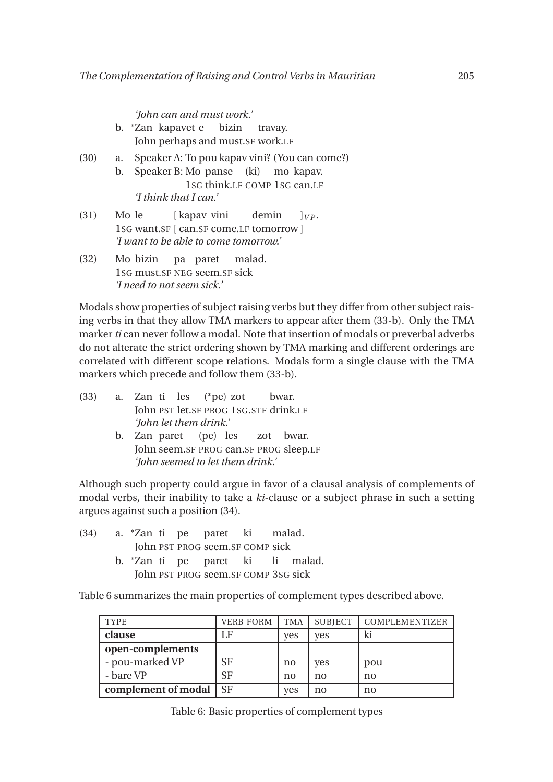*'John can and must work.'*

- b. \*Zan kapavet e John perhaps and must.SF work.LF bizin travay.
- (30) a. Speaker A: To pou kapav vini? (You can come?)
	- b. Speaker B: Mo panse (ki) mo kapav. 1SG think.LF COMP 1SG can.LF *'I think that I can.'*
- $(31)$ 1SG want.SF [ can.SF come.LF tomorrow ] Mo le [ kapav vini demin  $]$ *VP*. *'I want to be able to come tomorrow.'*
- $(32)$ 1SG must.SF NEG seem.SF sick bizin pa paret malad. *'I need to not seem sick.'*

Modals show properties of subject raising verbs but they differ from other subject raising verbs in that they allow TMA markers to appear after them (33-b). Only the TMA marker *ti* can never follow a modal. Note that insertion of modals or preverbal adverbs do not alterate the strict ordering shown by TMA marking and different orderings are correlated with different scope relations. Modals form a single clause with the TMA markers which precede and follow them (33-b).

- (33) a. Zan ti les John PST let.SF PROG 1SG.STF drink.LF (\*pe) zot bwar. *'John let them drink.'*
	- b. Zan paret John seem.SF PROG can.SF PROG sleep.LF (pe) les zot bwar. *'John seemed to let them drink.'*

Although such property could argue in favor of a clausal analysis of complements of modal verbs, their inability to take a *ki*-clause or a subject phrase in such a setting argues against such a position (34).

- (34) a. \*Zan ti pe John PST PROG seem.SF COMP sick paret ki malad.
	- b. \*Zan ti pe John PST PROG seem.SF COMP 3SG sick paret ki li malad.

Table 6 summarizes the main properties of complement types described above.

| <b>TYPE</b>         | <b>VERB FORM</b> | TMA | <b>SUBJECT</b> | <b>COMPLEMENTIZER</b> |
|---------------------|------------------|-----|----------------|-----------------------|
| clause              | ιF               | yes | <b>ves</b>     | ki                    |
| open-complements    |                  |     |                |                       |
| - pou-marked VP     | <b>SF</b>        | no  | yes            | pou                   |
| - bare VP           | <b>SF</b>        | no  | no             | no                    |
| complement of modal | -SF              | ves | no             | no                    |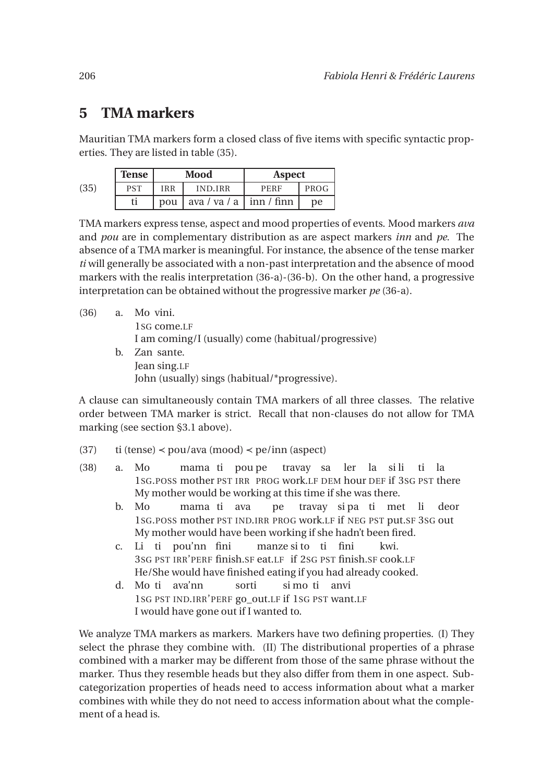### **5 TMA markers**

Mauritian TMA markers form a closed class of five items with specific syntactic properties. They are listed in table (35).

|      | <b>Tense</b> |            | Mood                 | <b>Aspect</b>   |      |  |
|------|--------------|------------|----------------------|-----------------|------|--|
| (35) | <b>PST</b>   | <b>IRR</b> | <b>IND.IRR</b>       | PERF            | PROG |  |
|      | ti           | pou        | ava / va / a $\vert$ | $\sinh / \sinh$ | pe   |  |

TMA markers express tense, aspect and mood properties of events. Mood markers *ava* and *pou* are in complementary distribution as are aspect markers *inn* and *pe*. The absence of a TMA marker is meaningful. For instance, the absence of the tense marker *ti* will generally be associated with a non-past interpretation and the absence of mood markers with the realis interpretation (36-a)-(36-b). On the other hand, a progressive interpretation can be obtained without the progressive marker *pe* (36-a).

| (36) |    | a. Mo vini.                                         |
|------|----|-----------------------------------------------------|
|      |    | 1sG come.LF                                         |
|      |    | I am coming/I (usually) come (habitual/progressive) |
|      | h. | Zan sante.                                          |
|      |    | Jean sing.LF                                        |
|      |    | John (usually) sings (habitual/*progressive).       |

A clause can simultaneously contain TMA markers of all three classes. The relative order between TMA marker is strict. Recall that non-clauses do not allow for TMA marking (see section §3.1 above).

- (37) ti (tense)  $\langle$  pou/ava (mood)  $\langle$  pe/inn (aspect)
- (38) a. Mo 1SG.POSS mother PST IRR PROG work.LF DEM hour DEF if 3SG PST there mama ti pou pe travay sa ler la si li ti la My mother would be working at this time if she was there.
	- b. Mo 1SG.POSS mother PST IND.IRR PROG work.LF if NEG PST put.SF 3SG out mama ti ava pe travay si pa ti met li deor My mother would have been working if she hadn't been fired.
	- c. Li ti pou'nn fini 3SG PST IRR'PERF finish.SF eat.LF if 2SG PST finish.SF cook.LF manze si to ti fini kwi. He/She would have finished eating if you had already cooked.
	- d. Mo ti ava'nn 1SG PST IND.IRR'PERF go\_out.LF if 1SG PST want.LF sorti si mo ti anvi I would have gone out if I wanted to.

We analyze TMA markers as markers. Markers have two defining properties. (I) They select the phrase they combine with. (II) The distributional properties of a phrase combined with a marker may be different from those of the same phrase without the marker. Thus they resemble heads but they also differ from them in one aspect. Subcategorization properties of heads need to access information about what a marker combines with while they do not need to access information about what the complement of a head is.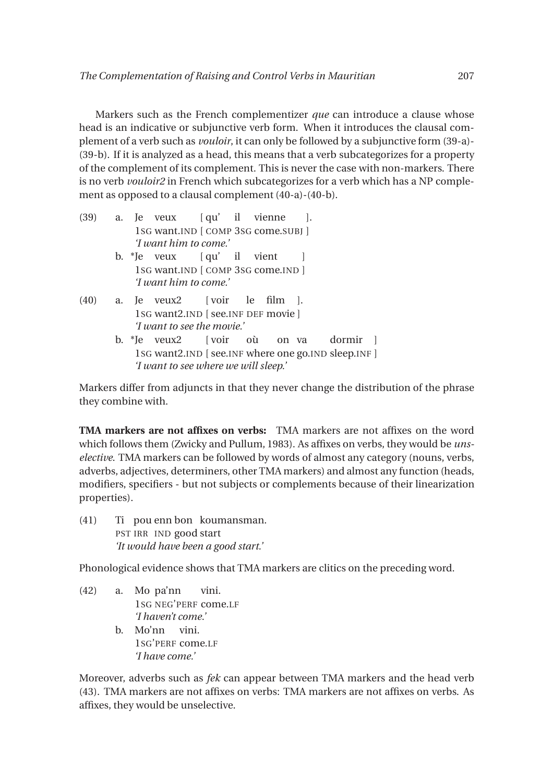Markers such as the French complementizer *que* can introduce a clause whose head is an indicative or subjunctive verb form. When it introduces the clausal complement of a verb such as *vouloir*, it can only be followed by a subjunctive form (39-a)- (39-b). If it is analyzed as a head, this means that a verb subcategorizes for a property of the complement of its complement. This is never the case with non-markers. There is no verb *vouloir2* in French which subcategorizes for a verb which has a NP complement as opposed to a clausal complement (40-a)-(40-b).

- (39) a. Je veux 1SG want.IND [ COMP 3SG come.SUBJ ] [ qu' il vienne ]. *'I want him to come.'*
	- b. \*Je veux 1SG want.IND [ COMP 3SG come.IND ] [ qu' il vient ] *'I want him to come.'*
- (40) a. Je veux2 1SG want2.IND [ see.INF DEF movie ] [ voir le film ]. *'I want to see the movie.'*
	- b. \*Je veux2 1SG want2.IND [ see.INF where one go.IND sleep.INF ] [ voir où on va dormir ] *'I want to see where we will sleep.'*

Markers differ from adjuncts in that they never change the distribution of the phrase they combine with.

**TMA markers are not affixes on verbs:** TMA markers are not affixes on the word which follows them (Zwicky and Pullum, 1983). As affixes on verbs, they would be *unselective*. TMA markers can be followed by words of almost any category (nouns, verbs, adverbs, adjectives, determiners, other TMA markers) and almost any function (heads, modifiers, specifiers - but not subjects or complements because of their linearization properties).

 $(41)$ PST IRR IND good start pou enn bon koumansman. *'It would have been a good start.'*

Phonological evidence shows that TMA markers are clitics on the preceding word.

- (42) a. Mo pa'nn 1SG NEG'PERF come.LF vini. *'I haven't come.'*
	- b. Mo'nn vini. 1SG'PERF come.LF *'I have come.'*

Moreover, adverbs such as *fek* can appear between TMA markers and the head verb (43). TMA markers are not affixes on verbs: TMA markers are not affixes on verbs. As affixes, they would be unselective.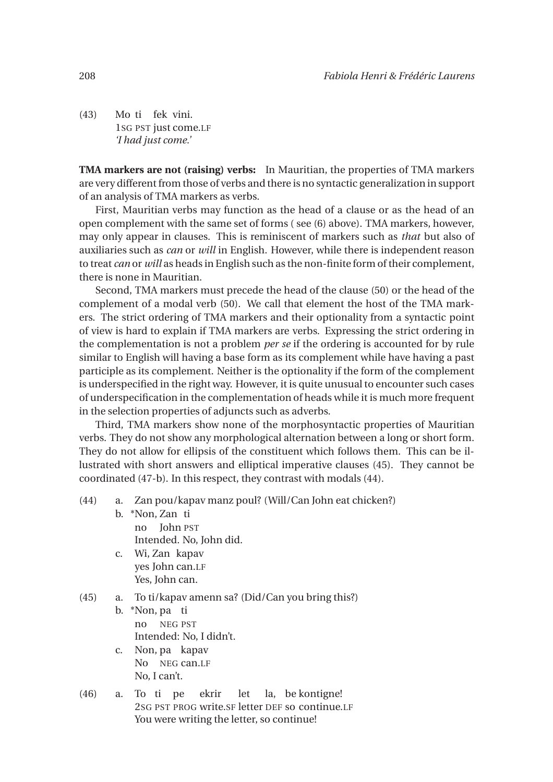$(43)$ 1SG PST just come.LF ti fek vini. *'I had just come.'*

**TMA markers are not (raising) verbs:** In Mauritian, the properties of TMA markers are very different from those of verbs and there is no syntactic generalization in support of an analysis of TMA markers as verbs.

First, Mauritian verbs may function as the head of a clause or as the head of an open complement with the same set of forms ( see (6) above). TMA markers, however, may only appear in clauses. This is reminiscent of markers such as *that* but also of auxiliaries such as *can* or *will* in English. However, while there is independent reason to treat *can* or *will* as heads in English such as the non-finite form of their complement, there is none in Mauritian.

Second, TMA markers must precede the head of the clause (50) or the head of the complement of a modal verb (50). We call that element the host of the TMA markers. The strict ordering of TMA markers and their optionality from a syntactic point of view is hard to explain if TMA markers are verbs. Expressing the strict ordering in the complementation is not a problem *per se* if the ordering is accounted for by rule similar to English will having a base form as its complement while have having a past participle as its complement. Neither is the optionality if the form of the complement is underspecified in the right way. However, it is quite unusual to encounter such cases of underspecification in the complementation of heads while it is much more frequent in the selection properties of adjuncts such as adverbs.

Third, TMA markers show none of the morphosyntactic properties of Mauritian verbs. They do not show any morphological alternation between a long or short form. They do not allow for ellipsis of the constituent which follows them. This can be illustrated with short answers and elliptical imperative clauses (45). They cannot be coordinated (47-b). In this respect, they contrast with modals (44).

- (44) a. Zan pou/kapav manz poul? (Will/Can John eat chicken?)
	- b. \*Non, Zan ti no John PST Intended. No, John did.
	- c. Wi, Zan kapav yes John can.LF Yes, John can.

#### (45) a. To ti/kapav amenn sa? (Did/Can you bring this?)

- b. \*Non, pa ti no NEG PST Intended: No, I didn't.
- c. Non, pa kapav No NEG can.LF No, I can't.
- (46) a. To ti pe 2SG PST PROG write.SF letter DEF so continue.LF ekrir let la, be kontigne! You were writing the letter, so continue!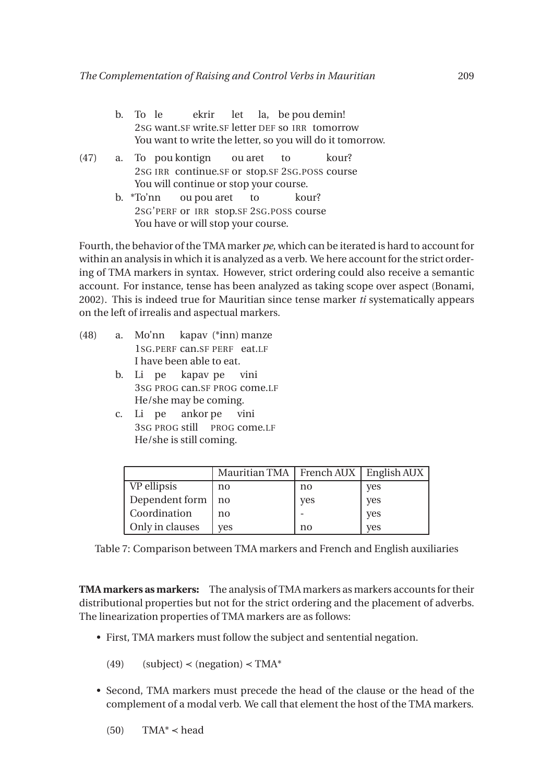- b. To le 2SG want.SF write.SF letter DEF so IRR tomorrow ekrir let la, be pou demin! You want to write the letter, so you will do it tomorrow.
- (47) a. To pou kontign 2SG IRR continue.SF or stop.SF 2SG.POSS course ou aret to kour? You will continue or stop your course.
	- b. \*To'nn 2SG'PERF or IRR stop.SF 2SG.POSS course ou pou aret to kour? You have or will stop your course.

Fourth, the behavior of the TMA marker *pe*, which can be iterated is hard to account for within an analysis in which it is analyzed as a verb. We here account for the strict ordering of TMA markers in syntax. However, strict ordering could also receive a semantic account. For instance, tense has been analyzed as taking scope over aspect (Bonami, 2002). This is indeed true for Mauritian since tense marker *ti* systematically appears on the left of irrealis and aspectual markers.

- (48) a. Mo'nn 1SG.PERF can.SF PERF eat.LF kapav (\*inn) manze I have been able to eat.
	- b. Li pe 3SG PROG can.SF PROG come.LF kapav pe vini He/she may be coming.
	- c. Li pe 3SG PROG still PROG come.LF ankor pe vini He/she is still coming.

|                 | Mauritian TMA   French AUX   English AUX |     |            |
|-----------------|------------------------------------------|-----|------------|
| VP ellipsis     | no                                       | no  | yes        |
| Dependent form  | no                                       | yes | <b>ves</b> |
| Coordination    | no                                       |     | yes        |
| Only in clauses | <b>ves</b>                               | no  | yes        |

Table 7: Comparison between TMA markers and French and English auxiliaries

**TMA markers as markers:** The analysis of TMA markers as markers accounts for their distributional properties but not for the strict ordering and the placement of adverbs. The linearization properties of TMA markers are as follows:

- First, TMA markers must follow the subject and sentential negation.
	- (49) (subject) < (negation) < TMA\*
- Second, TMA markers must precede the head of the clause or the head of the complement of a modal verb. We call that element the host of the TMA markers.

 $(TMA^* < head)$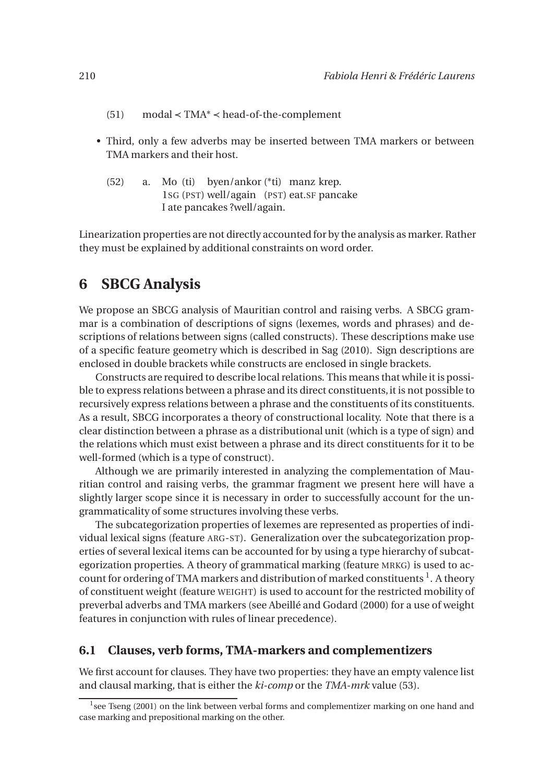- (51) modal ≺ TMA\* ≺ head-of-the-complement
- Third, only a few adverbs may be inserted between TMA markers or between TMA markers and their host.
	- (52) a. Mo (ti) byen/ankor (\*ti) manz krep. 1SG (PST) well/again (PST) eat.SF pancake I ate pancakes ?well/again.

Linearization properties are not directly accounted for by the analysis as marker. Rather they must be explained by additional constraints on word order.

### **6 SBCG Analysis**

We propose an SBCG analysis of Mauritian control and raising verbs. A SBCG grammar is a combination of descriptions of signs (lexemes, words and phrases) and descriptions of relations between signs (called constructs). These descriptions make use of a specific feature geometry which is described in Sag (2010). Sign descriptions are enclosed in double brackets while constructs are enclosed in single brackets.

Constructs are required to describe local relations. This means that while it is possible to express relations between a phrase and its direct constituents,it is not possible to recursively express relations between a phrase and the constituents of its constituents. As a result, SBCG incorporates a theory of constructional locality. Note that there is a clear distinction between a phrase as a distributional unit (which is a type of sign) and the relations which must exist between a phrase and its direct constituents for it to be well-formed (which is a type of construct).

Although we are primarily interested in analyzing the complementation of Mauritian control and raising verbs, the grammar fragment we present here will have a slightly larger scope since it is necessary in order to successfully account for the ungrammaticality of some structures involving these verbs.

The subcategorization properties of lexemes are represented as properties of individual lexical signs (feature ARG-ST). Generalization over the subcategorization properties of several lexical items can be accounted for by using a type hierarchy of subcategorization properties. A theory of grammatical marking (feature MRKG) is used to account for ordering of TMA markers and distribution of marked constituents <sup>1</sup>. A theory of constituent weight (feature WEIGHT) is used to account for the restricted mobility of preverbal adverbs and TMA markers (see Abeillé and Godard (2000) for a use of weight features in conjunction with rules of linear precedence).

#### **6.1 Clauses, verb forms, TMA-markers and complementizers**

We first account for clauses. They have two properties: they have an empty valence list and clausal marking, that is either the *ki-comp* or the *TMA-mrk* value (53).

<sup>&</sup>lt;sup>1</sup>see Tseng (2001) on the link between verbal forms and complementizer marking on one hand and case marking and prepositional marking on the other.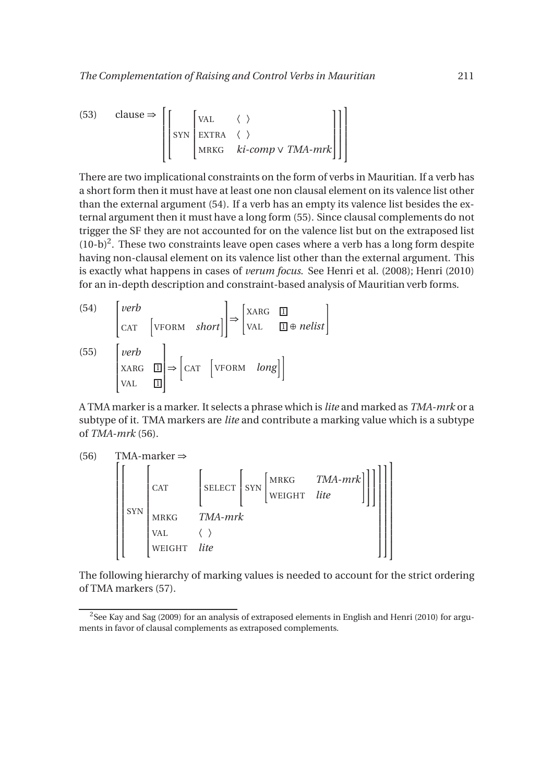(53) clause 
$$
\Rightarrow
$$
  $\left[\begin{bmatrix} VAL & \langle \rangle \\ SYN & EXTRA & \langle \rangle \\ MRKG & ki-comp \vee TMA-mrk \end{bmatrix}\right]\right]$ 

There are two implicational constraints on the form of verbs in Mauritian. If a verb has a short form then it must have at least one non clausal element on its valence list other than the external argument (54). If a verb has an empty its valence list besides the external argument then it must have a long form (55). Since clausal complements do not trigger the SF they are not accounted for on the valence list but on the extraposed list  $(10-b)^2$ . These two constraints leave open cases where a verb has a long form despite having non-clausal element on its valence list other than the external argument. This is exactly what happens in cases of *verum focus*. See Henri et al. (2008); Henri (2010) for an in-depth description and constraint-based analysis of Mauritian verb forms.

(54) 
$$
\begin{bmatrix} verb \\ \text{CAT} \\ \text{VFORM } short \end{bmatrix} \Rightarrow \begin{bmatrix} \text{XARG} & \square \\ \text{VAL} \\ \text{UL} \end{bmatrix} \Rightarrow helist \begin{bmatrix} \text{VFGRM} \\ \text{VAL} \\ \text{VAL} \end{bmatrix}
$$
  
(55)  $\begin{bmatrix} verb \\ \text{XARG} \\ \text{VAL} \\ \text{VAL} \end{bmatrix} \Rightarrow \begin{bmatrix} \text{CAT} \\ \text{CAT} \\ \text{VFORM} \end{bmatrix} \times \begin{bmatrix} \text{VFORM} \\ \text{UFGRM} \\ \text{UFGRM} \end{bmatrix}$ 

A TMA marker is a marker. It selects a phrase which is *lite* and marked as *TMA-mrk* or a subtype of it. TMA markers are *lite* and contribute a marking value which is a subtype of *TMA-mrk* (56).

(56) TMA-market 
$$
\Rightarrow
$$
  
\n
$$
\begin{bmatrix}\nGAT \\
\text{SYN} \\
\text{MRKG} \\
\text{MRKG} \\
\text{MAKG} \\
\text{MAKG} \\
\text{MAKG} \\
\text{MAMH} \\
\text{VAL} \\
\text{WEGHT} \\
\text{like}\n\end{bmatrix}
$$
\n
$$
\begin{bmatrix}\n\text{MRKG} \\
\text{SYN} \\
\text{WEGHT} \\
\text{LIEGHT}\n\end{bmatrix}
$$

The following hierarchy of marking values is needed to account for the strict ordering of TMA markers (57).

 $^2$ See Kay and Sag (2009) for an analysis of extraposed elements in English and Henri (2010) for arguments in favor of clausal complements as extraposed complements.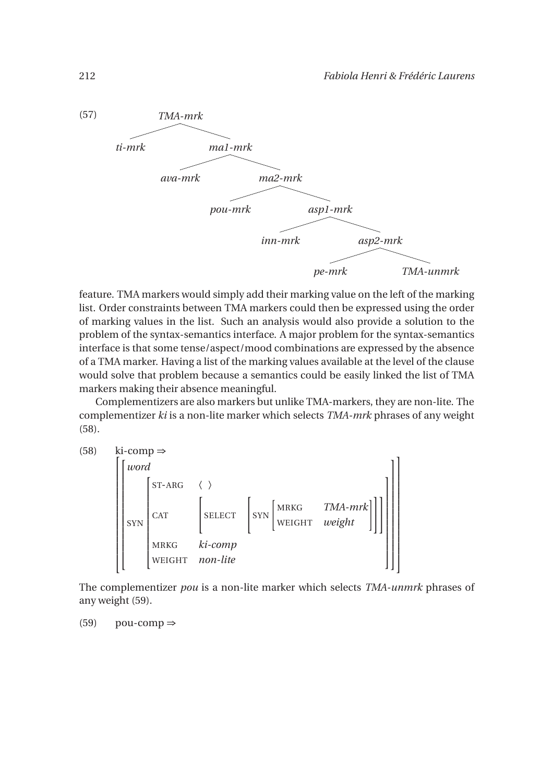

feature. TMA markers would simply add their marking value on the left of the marking list. Order constraints between TMA markers could then be expressed using the order of marking values in the list. Such an analysis would also provide a solution to the problem of the syntax-semantics interface. A major problem for the syntax-semantics interface is that some tense/aspect/mood combinations are expressed by the absence of a TMA marker. Having a list of the marking values available at the level of the clause would solve that problem because a semantics could be easily linked the list of TMA markers making their absence meaningful.

Complementizers are also markers but unlike TMA-markers, they are non-lite. The complementizer *ki* is a non-lite marker which selects *TMA-mrk* phrases of any weight (58).



The complementizer *pou* is a non-lite marker which selects *TMA-unmrk* phrases of any weight (59).

 $(59)$  pou-comp  $\Rightarrow$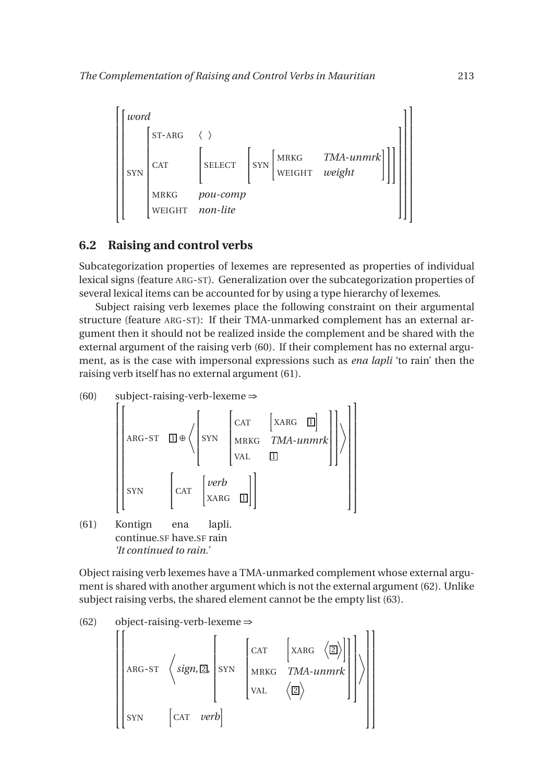

### **6.2 Raising and control verbs**

Subcategorization properties of lexemes are represented as properties of individual lexical signs (feature ARG-ST). Generalization over the subcategorization properties of several lexical items can be accounted for by using a type hierarchy of lexemes.

Subject raising verb lexemes place the following constraint on their argumental structure (feature ARG-ST): If their TMA-unmarked complement has an external argument then it should not be realized inside the complement and be shared with the external argument of the raising verb (60). If their complement has no external argument, as is the case with impersonal expressions such as *ena lapli* 'to rain' then the raising verb itself has no external argument (61).



Object raising verb lexemes have a TMA-unmarked complement whose external argument is shared with another argument which is not the external argument (62). Unlike subject raising verbs, the shared element cannot be the empty list (63).

(62) object-raising-verb-lexeme 
$$
\Rightarrow
$$
  $\begin{bmatrix} \begin{bmatrix} 1 & 0 \\ 0 & 1 \end{bmatrix} \end{bmatrix}$ 

$$
\begin{bmatrix}\n\begin{bmatrix}\n\text{ARG-ST} & \begin{bmatrix}\n\text{sign,} \boxed{2}\n\end{bmatrix} & \text{SYN} & \begin{bmatrix}\n\text{CAT} & \begin{bmatrix}\n\text{XARG} & \begin{bmatrix}\n\boxed{2}\n\end{bmatrix}\n\end{bmatrix} \\
\text{SYN} & \begin{bmatrix}\n\text{CAT} & \text{WRKG} & \text{TMA-unmrk} \\
\text{VAL} & \begin{bmatrix}\n\boxed{2}\n\end{bmatrix}\n\end{bmatrix}\n\end{bmatrix}
$$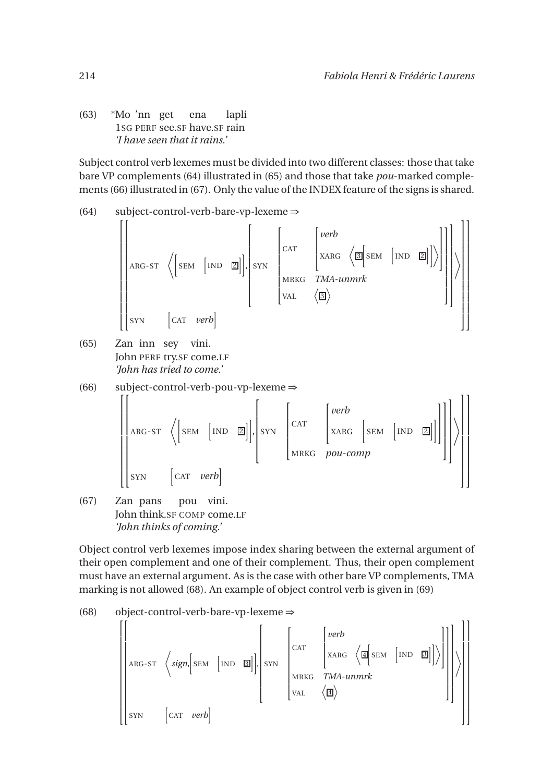(63) \*Mo 'nn get 1SG PERF see.SF have.SF rain ena lapli *'I have seen that it rains.'*

Subject control verb lexemes must be divided into two different classes: those that take bare VP complements (64) illustrated in (65) and those that take *pou*-marked complements (66) illustrated in (67). Only the value of the INDEX feature of the signs is shared.

(64) subject-control-verb-bare-vp-lexeme 
$$
\Rightarrow
$$
  
\n
$$
\left\{\n\begin{bmatrix}\n\text{exp}\left[\n\begin{bmatrix}\n\text{exp}\left[\n\begin{bmatrix}\n\text{exp}\left[\n\begin{bmatrix}\n\text{exp}\left[\n\begin{bmatrix}\n\text{exp}\left[\n\begin{bmatrix}\n\text{exp}\left[\n\begin{bmatrix}\n\text{exp}\left[\n\begin{bmatrix}\n\text{exp}\left[\n\begin{bmatrix}\n\text{exp}\left[\n\begin{bmatrix}\n\text{exp}\left[\n\begin{bmatrix}\n\text{exp}\left[\n\begin{bmatrix}\n\text{exp}\left[\n\begin{bmatrix}\n\text{exp}\left[\n\begin{bmatrix}\n\text{exp}\left[\n\begin{bmatrix}\n\text{exp}\left[\n\begin{bmatrix}\n\text{exp}\left[\n\begin{bmatrix}\n\text{exp}\left[\n\begin{bmatrix}\n\text{exp}\left[\n\begin{bmatrix}\n\text{exp}\left[\n\begin{bmatrix}\n\text{exp}\left[\n\begin{bmatrix}\n\text{exp}\left[\n\begin{bmatrix}\n\text{exp}\left[\n\begin{bmatrix}\n\text{exp}\left[\n\begin{bmatrix}\n\text{exp}\left[\n\begin{bmatrix}\n\text{exp}\left[\n\begin{bmatrix}\n\text{exp}\left[\n\begin{bmatrix}\n\text{exp}\left[\n\begin{bmatrix}\n\text{exp}\left[\n\begin{bmatrix}\n\text{exp}\left[\n\text{exp}\left[\frac{\n\text{exp}\left[\n\begin{bmatrix}\n\text{exp}\left[\n\begin{bmatrix}\n\text{exp}\left[\n\text{exp}\left[\frac{\n\text{exp}\left[\n\begin{bmatrix}\n\text{exp}\left[\n\text{exp}\left[\frac{\n\text{exp}\left[\text{exp}\left[\text{exp}\left[\text{exp}\left[\text{exp}\left[\text{exp}\left[\text{exp}\left[\text{exp}\left[\text{exp}\left[\text{exp}\left[\text{exp}\left[\text{exp}\left[\text{exp}\left[\text{exp}\left[\text{exp}\left[\text{exp}\left[\text{exp}\left[\text{exp}\left[\text{exp}\left[\text{exp}\left[\text{exp}\left[\text{exp}\left[\text{exp}\left[\text{exp}\left[\text{exp}\left[\text{exp}\right]\right]\right]\right]\right]\right]\right]\right]\right)}{\right]\right)}\right)\right)} & \text{max}\n\end{bmatrix}\n\end{bmatrix}
$$

(65) Zan inn sey vini. John PERF try.SF come.LF *'John has tried to come.'*

(66) subject-control-verb-pou-vp-lexeme 
$$
\Rightarrow
$$

$$
\begin{bmatrix}\n\begin{bmatrix}\n\text{ARG-ST} & \text{SEM} & \begin{bmatrix}\n\text{IND} & \boxed{2}\n\end{bmatrix}\n\end{bmatrix}, & & & \\
\text{BEN} & \begin{bmatrix}\n\text{SIN} & \begin{bmatrix}\n\text{CAT} & \begin{bmatrix}\n\text{WER} & \text{SEM} & \begin{bmatrix}\n\text{NID} & \boxed{2}\n\end{bmatrix}\n\end{bmatrix}\n\end{bmatrix}\n\end{bmatrix}
$$
\n
$$
\begin{bmatrix}\n\text{SIN} & \begin{bmatrix}\n\text{CAT} & \text{verb} \\
\text{SIN} & \begin{bmatrix}\n\text{CAT} & \text{verb} \\
\text{CAT} & \text{verb} \\
\end{bmatrix}\n\end{bmatrix}
$$

(67) Zan pans John think.SF COMP come.LF pou vini. *'John thinks of coming.'*

Object control verb lexemes impose index sharing between the external argument of their open complement and one of their complement. Thus, their open complement must have an external argument. As is the case with other bare VP complements, TMA marking is not allowed (68). An example of object control verb is given in (69)

$$
(68) \qquad object-control-verb-bare-vp-lexeme \Rightarrow
$$

$$
\left[\begin{bmatrix} \begin{matrix} 1 & 0 & 0 \\ 0 & 0 & 0 \\ 0 & 0 & 0 \\ 0 & 0 & 0 \\ 0 & 0 & 0 \\ 0 & 0 & 0 \\ 0 & 0 & 0 \\ 0 & 0 & 0 \\ 0 & 0 & 0 \\ 0 & 0 & 0 \\ 0 & 0 & 0 \\ 0 & 0 & 0 \\ 0 & 0 & 0 \\ 0 & 0 & 0 \\ 0 & 0 & 0 \\ 0 & 0 & 0 \\ 0 & 0 & 0 \\ 0 & 0 & 0 \\ 0 & 0 & 0 \\ 0 & 0 & 0 \\ 0 & 0 & 0 \\ 0 & 0 & 0 \\ 0 & 0 & 0 \\ 0 & 0 & 0 \\ 0 & 0 & 0 \\ 0 & 0 & 0 \\ 0 & 0 & 0 \\ 0 & 0 & 0 \\ 0 & 0 & 0 \\ 0 & 0 & 0 \\ 0 & 0 & 0 \\ 0 & 0 & 0 \\ 0 & 0 & 0 \\ 0 & 0 & 0 \\ 0 & 0 & 0 \\ 0 & 0 & 0 \\ 0 & 0 & 0 \\ 0 & 0 & 0 \\ 0 & 0 & 0 \\ 0 & 0 & 0 \\ 0 & 0 & 0 \\ 0 & 0 & 0 \\ 0 & 0 & 0 \\ 0 & 0 & 0 \\ 0 & 0 & 0 \\ 0 & 0 & 0 \\ 0 & 0 & 0 \\ 0 & 0 & 0 \\ 0 & 0 & 0 \\ 0 & 0 & 0 \\ 0 & 0 & 0 \\ 0 & 0 & 0 \\ 0 & 0 & 0 \\ 0 & 0 & 0 \\ 0 & 0 & 0 \\ 0 & 0 & 0 \\ 0 & 0 & 0 \\ 0 & 0 & 0 \\ 0 & 0 & 0 \\ 0 & 0 & 0 \\ 0 & 0 & 0 \\ 0 & 0 & 0 \\ 0 & 0 & 0 \\ 0 & 0 & 0 \\ 0 & 0 & 0 \\ 0 & 0 & 0 \\ 0 & 0 & 0 \\ 0 & 0 & 0 \\ 0 & 0 & 0 \\ 0 & 0 & 0 \\ 0 & 0 & 0 \\ 0 & 0 & 0 \\ 0 & 0 & 0 \\ 0 & 0 & 0 \\ 0 & 0 & 0 \\ 0 & 0 & 0 \\ 0 & 0 & 0 \\ 0 & 0 & 0 \\ 0 & 0 & 0 \\ 0 & 0 & 0 \\ 0 & 0 & 0 \\ 0 & 0 & 0 \\ 0 & 0 & 0 \\
$$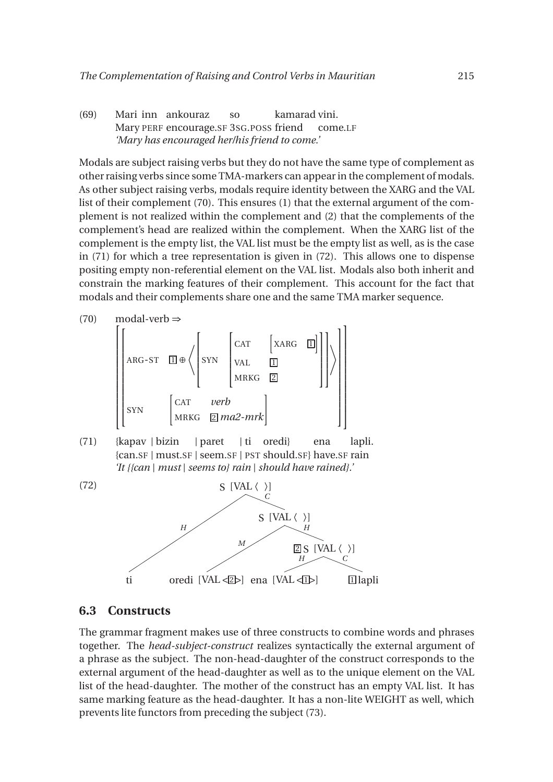(69) Mari inn ankouraz Mary PERF encourage.SF 3SG.POSS friend so kamarad vini. come.LF *'Mary has encouraged her/his friend to come.'*

Modals are subject raising verbs but they do not have the same type of complement as other raising verbs since some TMA-markers can appear in the complement of modals. As other subject raising verbs, modals require identity between the XARG and the VAL list of their complement (70). This ensures (1) that the external argument of the complement is not realized within the complement and (2) that the complements of the complement's head are realized within the complement. When the XARG list of the complement is the empty list, the VAL list must be the empty list as well, as is the case in (71) for which a tree representation is given in (72). This allows one to dispense positing empty non-referential element on the VAL list. Modals also both inherit and constrain the marking features of their complement. This account for the fact that modals and their complements share one and the same TMA marker sequence.



#### **6.3 Constructs**

The grammar fragment makes use of three constructs to combine words and phrases together. The *head-subject-construct* realizes syntactically the external argument of a phrase as the subject. The non-head-daughter of the construct corresponds to the external argument of the head-daughter as well as to the unique element on the VAL list of the head-daughter. The mother of the construct has an empty VAL list. It has same marking feature as the head-daughter. It has a non-lite WEIGHT as well, which prevents lite functors from preceding the subject (73).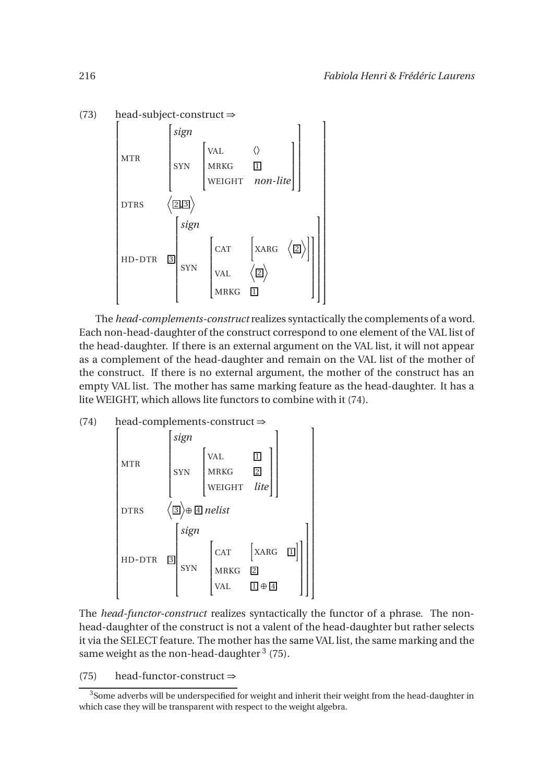

The *head-complements-construct* realizes syntactically the complements of a word. Each non-head-daughter of the construct correspond to one element of the VAL list of the head-daughter. If there is an external argument on the VAL list, it will not appear as a complement of the head-daughter and remain on the VAL list of the mother of the construct. If there is no external argument, the mother of the construct has an empty VAL list. The mother has same marking feature as the head-daughter. It has a lite WEIGHT, which allows lite functors to combine with it (74).

(74) head-complements-construct ⇒  $\lceil$   $DTRS$   $\langle$   $\overline{1}$ MTR  $\sqrt{ }$  *sign* SYN  $\sqrt{ }$  $\begin{array}{c} \hline \end{array}$ VAL 1 MRKG <u>2</u> WEIGHT *lite* 1  $\overline{\phantom{a}}$ 1  $\begin{array}{c} \begin{array}{c} \begin{array}{c} \begin{array}{c} \end{array} \\ \begin{array}{c} \end{array} \end{array} \end{array} \end{array}$ 3 E ⊕ <sup>4</sup> *nelist* HD-DTR <mark>3</mark>  $\lceil$  *sign* SYN  $\sqrt{ }$   $CAT \left[ XARG \left[ \overline{1} \right] \right]$ MRKG <u>2</u> VAL  $1 \oplus 4$ 1  $\mathbf{I}$ 1  $\mathbf{I}$  $\mathsf{I}$  $\mathbf{I}$  $\mathsf{I}$  $\mathsf{I}$  $\mathbf{I}$  $\mathsf{I}$ 1  $\mathsf{I}$  $\overline{1}$  $\mathbf{I}$  $\overline{1}$  $\mathbf{I}$  $\mathsf{I}$  $\overline{1}$  $\mathbf{I}$  $\overline{1}$  $\mathbf{I}$  $\mathsf{I}$  $\overline{1}$  $\mathbf{I}$  $\mathbf{I}$ 

The *head-functor-construct* realizes syntactically the functor of a phrase. The nonhead-daughter of the construct is not a valent of the head-daughter but rather selects it via the SELECT feature. The mother has the same VAL list, the same marking and the same weight as the non-head-daughter  $^3$  (75).

(75) head-functor-construct  $\Rightarrow$ 

<sup>&</sup>lt;sup>3</sup>Some adverbs will be underspecified for weight and inherit their weight from the head-daughter in which case they will be transparent with respect to the weight algebra.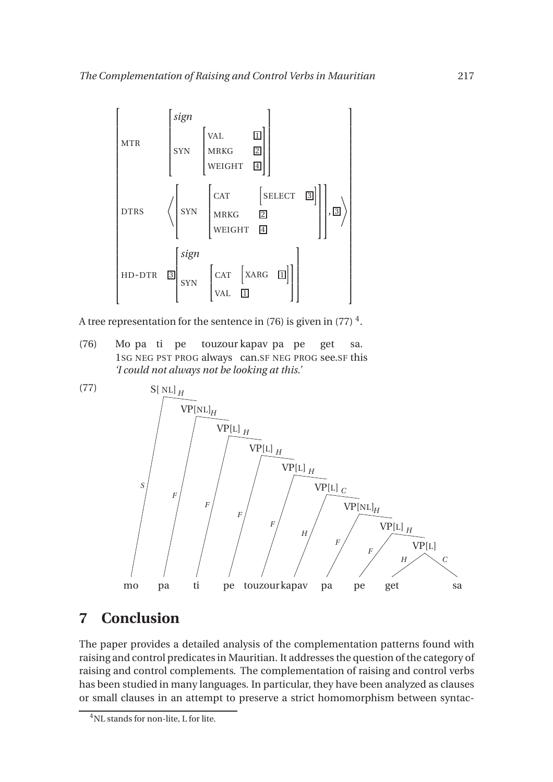

A tree representation for the sentence in (76) is given in (77)  $^4$ .

(76) Mo pa ti pe 1SG NEG PST PROG always can.SF NEG PROG see.SF this touzour kapav pa pe get sa. *'I could not always not be looking at this.'*



## **7 Conclusion**

The paper provides a detailed analysis of the complementation patterns found with raising and control predicates in Mauritian. It addresses the question of the category of raising and control complements. The complementation of raising and control verbs has been studied in many languages. In particular, they have been analyzed as clauses or small clauses in an attempt to preserve a strict homomorphism between syntac-

<sup>4</sup>NL stands for non-lite, L for lite.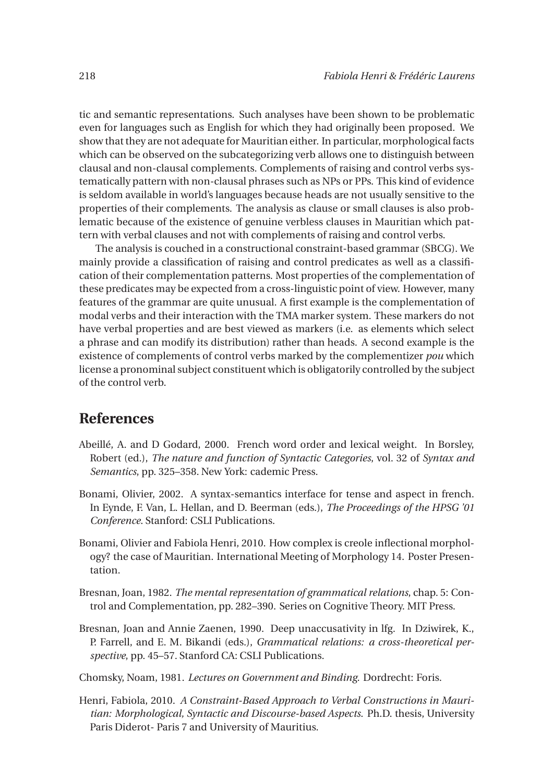tic and semantic representations. Such analyses have been shown to be problematic even for languages such as English for which they had originally been proposed. We show that they are not adequate for Mauritian either. In particular, morphological facts which can be observed on the subcategorizing verb allows one to distinguish between clausal and non-clausal complements. Complements of raising and control verbs systematically pattern with non-clausal phrases such as NPs or PPs. This kind of evidence is seldom available in world's languages because heads are not usually sensitive to the properties of their complements. The analysis as clause or small clauses is also problematic because of the existence of genuine verbless clauses in Mauritian which pattern with verbal clauses and not with complements of raising and control verbs.

The analysis is couched in a constructional constraint-based grammar (SBCG). We mainly provide a classification of raising and control predicates as well as a classification of their complementation patterns. Most properties of the complementation of these predicates may be expected from a cross-linguistic point of view. However, many features of the grammar are quite unusual. A first example is the complementation of modal verbs and their interaction with the TMA marker system. These markers do not have verbal properties and are best viewed as markers (i.e. as elements which select a phrase and can modify its distribution) rather than heads. A second example is the existence of complements of control verbs marked by the complementizer *pou* which license a pronominal subject constituent which is obligatorily controlled by the subject of the control verb.

### **References**

- Abeillé, A. and D Godard, 2000. French word order and lexical weight. In Borsley, Robert (ed.), *The nature and function of Syntactic Categories*, vol. 32 of *Syntax and Semantics*, pp. 325–358. New York: cademic Press.
- Bonami, Olivier, 2002. A syntax-semantics interface for tense and aspect in french. In Eynde, F. Van, L. Hellan, and D. Beerman (eds.), *The Proceedings of the HPSG '01 Conference*. Stanford: CSLI Publications.
- Bonami, Olivier and Fabiola Henri, 2010. How complex is creole inflectional morphology? the case of Mauritian. International Meeting of Morphology 14. Poster Presentation.
- Bresnan, Joan, 1982. *The mental representation of grammatical relations*, chap. 5: Control and Complementation, pp. 282–390. Series on Cognitive Theory. MIT Press.
- Bresnan, Joan and Annie Zaenen, 1990. Deep unaccusativity in lfg. In Dziwirek, K., P. Farrell, and E. M. Bikandi (eds.), *Grammatical relations: a cross-theoretical perspective*, pp. 45–57. Stanford CA: CSLI Publications.

Chomsky, Noam, 1981. *Lectures on Government and Binding*. Dordrecht: Foris.

Henri, Fabiola, 2010. *A Constraint-Based Approach to Verbal Constructions in Mauritian: Morphological, Syntactic and Discourse-based Aspects*. Ph.D. thesis, University Paris Diderot- Paris 7 and University of Mauritius.